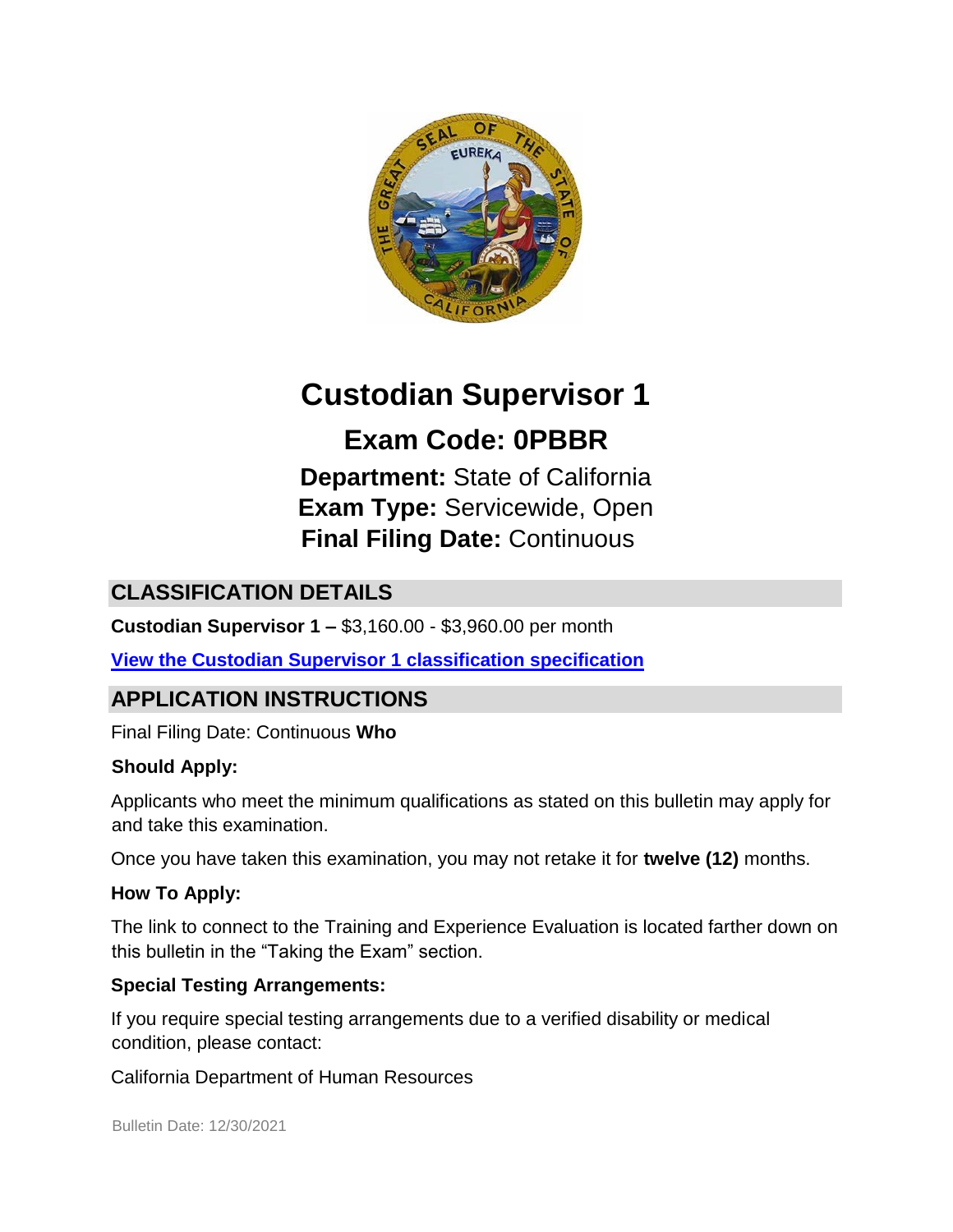

# **Custodian Supervisor 1**

**Exam Code: 0PBBR Department:** State of California **Exam Type:** Servicewide, Open **Final Filing Date:** Continuous

# **CLASSIFICATION DETAILS**

**Custodian Supervisor 1 –** \$3,160.00 - \$3,960.00 per month

**[View the Custodian Supervisor 1 classification specification](https://www.calhr.ca.gov/state-hr-professionals/Pages/2011.aspx)**

# **APPLICATION INSTRUCTIONS**

Final Filing Date: Continuous **Who** 

#### **Should Apply:**

Applicants who meet the minimum qualifications as stated on this bulletin may apply for and take this examination.

Once you have taken this examination, you may not retake it for **twelve (12)** months.

#### **How To Apply:**

The link to connect to the Training and Experience Evaluation is located farther down on this bulletin in the "Taking the Exam" section.

#### **Special Testing Arrangements:**

If you require special testing arrangements due to a verified disability or medical condition, please contact:

California Department of Human Resources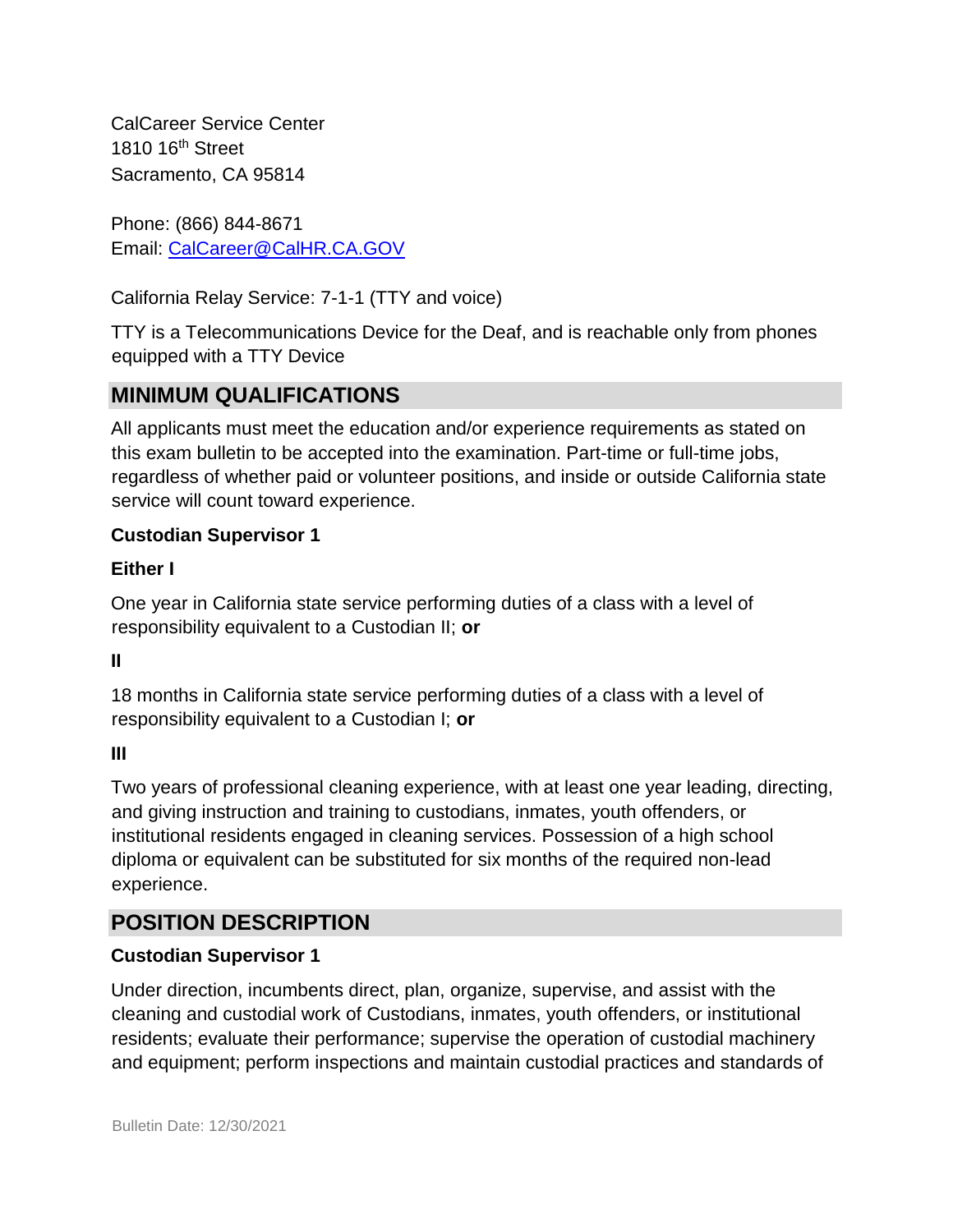CalCareer Service Center 1810 16<sup>th</sup> Street Sacramento, CA 95814

Phone: (866) 844-8671 Email: CalCareer@CalHR.CA.GOV

California Relay Service: 7-1-1 (TTY and voice)

TTY is a Telecommunications Device for the Deaf, and is reachable only from phones equipped with a TTY Device

### **MINIMUM QUALIFICATIONS**

All applicants must meet the education and/or experience requirements as stated on this exam bulletin to be accepted into the examination. Part-time or full-time jobs, regardless of whether paid or volunteer positions, and inside or outside California state service will count toward experience.

### **Custodian Supervisor 1**

#### **Either I**

One year in California state service performing duties of a class with a level of responsibility equivalent to a Custodian II; **or**

**II** 

18 months in California state service performing duties of a class with a level of responsibility equivalent to a Custodian I; **or**

#### **III**

Two years of professional cleaning experience, with at least one year leading, directing, and giving instruction and training to custodians, inmates, youth offenders, or institutional residents engaged in cleaning services. Possession of a high school diploma or equivalent can be substituted for six months of the required non-lead experience.

### **POSITION DESCRIPTION**

### **Custodian Supervisor 1**

Under direction, incumbents direct, plan, organize, supervise, and assist with the cleaning and custodial work of Custodians, inmates, youth offenders, or institutional residents; evaluate their performance; supervise the operation of custodial machinery and equipment; perform inspections and maintain custodial practices and standards of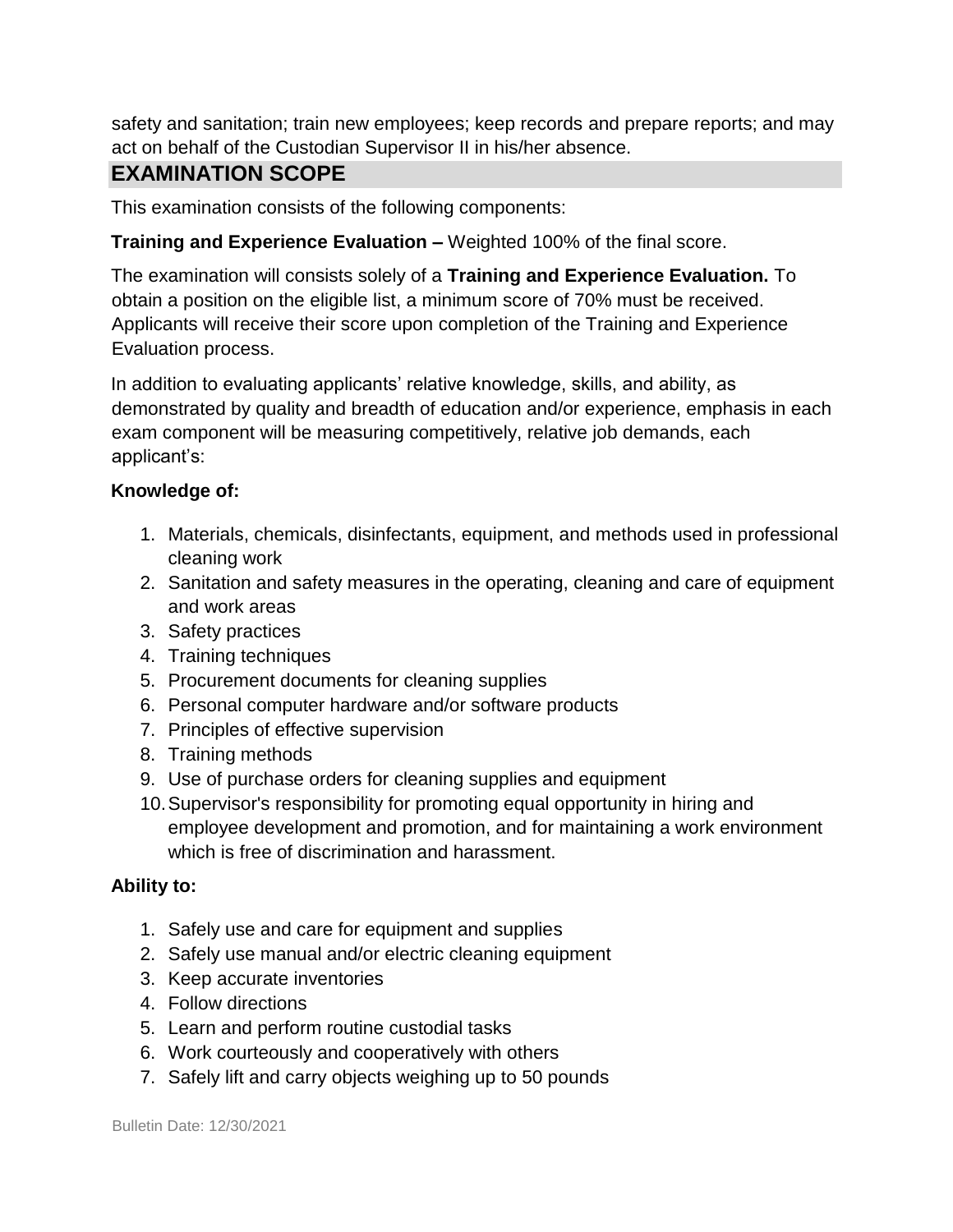safety and sanitation; train new employees; keep records and prepare reports; and may act on behalf of the Custodian Supervisor II in his/her absence.

### **EXAMINATION SCOPE**

This examination consists of the following components:

#### **Training and Experience Evaluation –** Weighted 100% of the final score.

The examination will consists solely of a **Training and Experience Evaluation.** To obtain a position on the eligible list, a minimum score of 70% must be received. Applicants will receive their score upon completion of the Training and Experience Evaluation process.

In addition to evaluating applicants' relative knowledge, skills, and ability, as demonstrated by quality and breadth of education and/or experience, emphasis in each exam component will be measuring competitively, relative job demands, each applicant's:

#### **Knowledge of:**

- 1. Materials, chemicals, disinfectants, equipment, and methods used in professional cleaning work
- 2. Sanitation and safety measures in the operating, cleaning and care of equipment and work areas
- 3. Safety practices
- 4. Training techniques
- 5. Procurement documents for cleaning supplies
- 6. Personal computer hardware and/or software products
- 7. Principles of effective supervision
- 8. Training methods
- 9. Use of purchase orders for cleaning supplies and equipment
- 10.Supervisor's responsibility for promoting equal opportunity in hiring and employee development and promotion, and for maintaining a work environment which is free of discrimination and harassment.

#### **Ability to:**

- 1. Safely use and care for equipment and supplies
- 2. Safely use manual and/or electric cleaning equipment
- 3. Keep accurate inventories
- 4. Follow directions
- 5. Learn and perform routine custodial tasks
- 6. Work courteously and cooperatively with others
- 7. Safely lift and carry objects weighing up to 50 pounds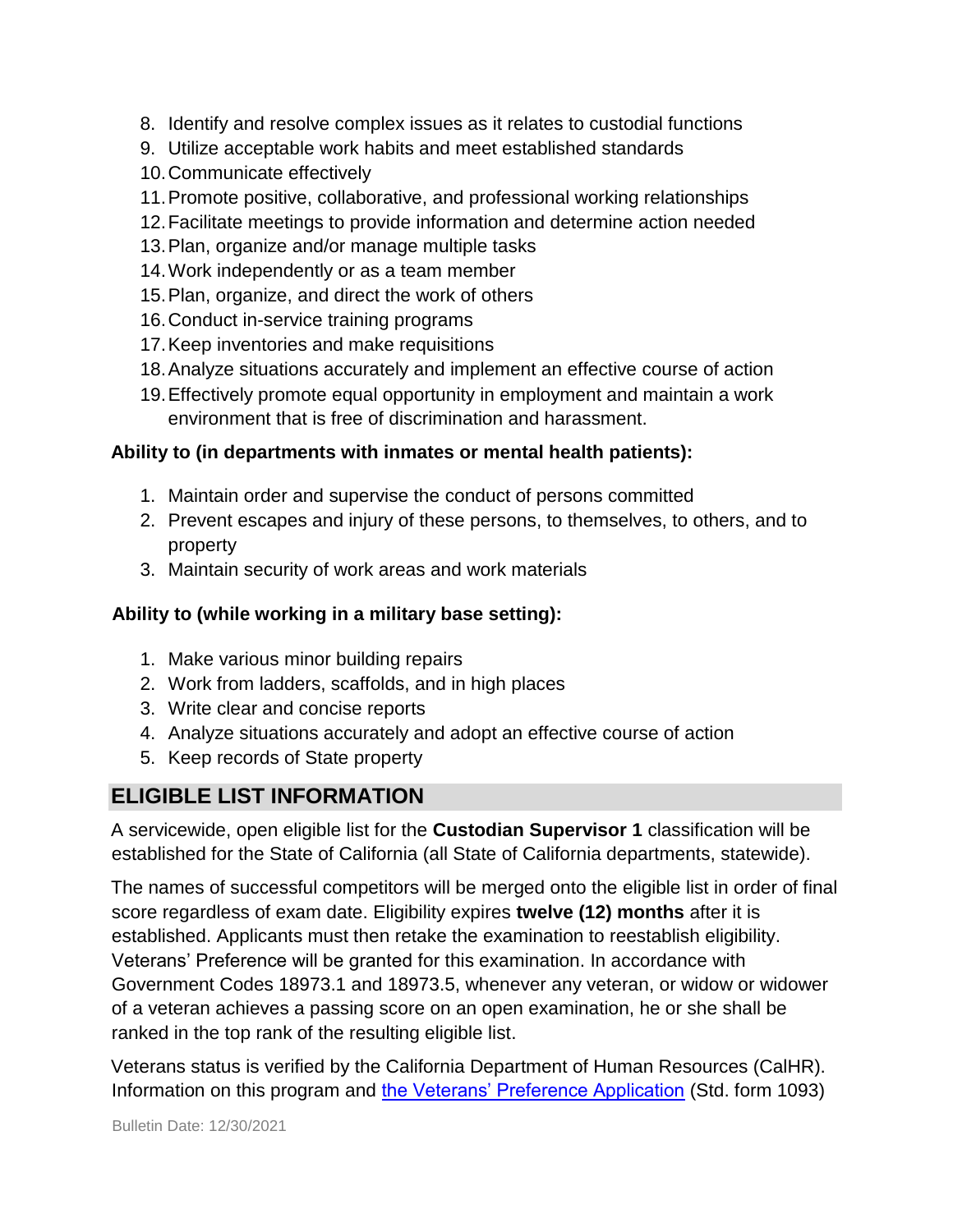- 8. Identify and resolve complex issues as it relates to custodial functions
- 9. Utilize acceptable work habits and meet established standards
- 10.Communicate effectively
- 11.Promote positive, collaborative, and professional working relationships
- 12.Facilitate meetings to provide information and determine action needed
- 13.Plan, organize and/or manage multiple tasks
- 14.Work independently or as a team member
- 15.Plan, organize, and direct the work of others
- 16.Conduct in-service training programs
- 17.Keep inventories and make requisitions
- 18.Analyze situations accurately and implement an effective course of action
- 19.Effectively promote equal opportunity in employment and maintain a work environment that is free of discrimination and harassment.

### **Ability to (in departments with inmates or mental health patients):**

- 1. Maintain order and supervise the conduct of persons committed
- 2. Prevent escapes and injury of these persons, to themselves, to others, and to property
- 3. Maintain security of work areas and work materials

### **Ability to (while working in a military base setting):**

- 1. Make various minor building repairs
- 2. Work from ladders, scaffolds, and in high places
- 3. Write clear and concise reports
- 4. Analyze situations accurately and adopt an effective course of action
- 5. Keep records of State property

# **ELIGIBLE LIST INFORMATION**

A servicewide, open eligible list for the **Custodian Supervisor 1** classification will be established for the State of California (all State of California departments, statewide).

The names of successful competitors will be merged onto the eligible list in order of final score regardless of exam date. Eligibility expires **twelve (12) months** after it is established. Applicants must then retake the examination to reestablish eligibility. Veterans' Preference will be granted for this examination. In accordance with Government Codes 18973.1 and 18973.5, whenever any veteran, or widow or widower of a veteran achieves a passing score on an open examination, he or she shall be ranked in the top rank of the resulting eligible list.

Veterans status is verified by the California Department of Human Resources (CalHR). Information on this program and [the Veterans' Preference Application](https://www.jobs.ca.gov/CalHRPublic/Landing/Jobs/VeteransInformation.aspx) [\(](https://www.jobs.ca.gov/CalHRPublic/Landing/Jobs/VeteransInformation.aspx)Std. form 1093)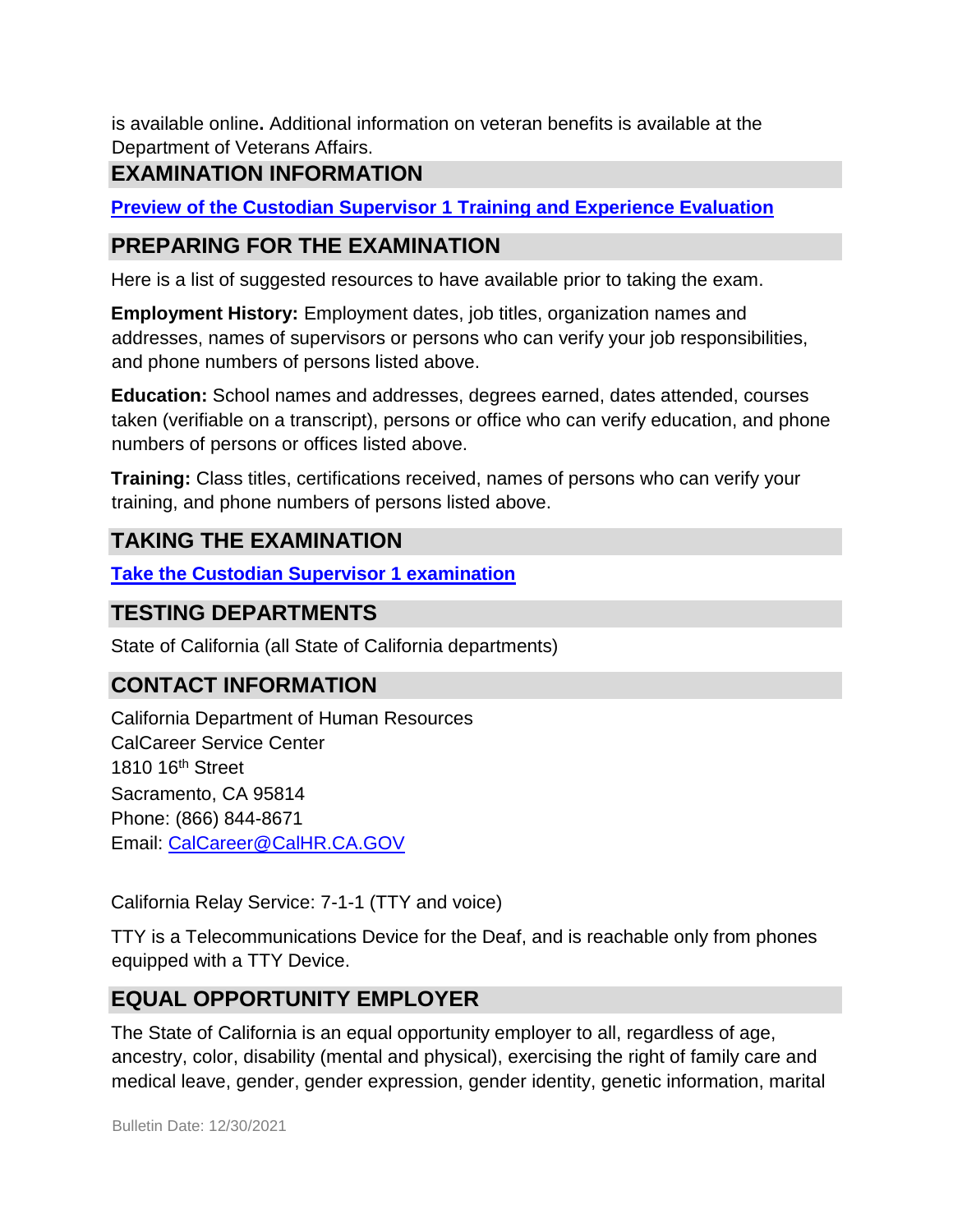is available online**.** Additional information on veteran benefits is available at the Department of Veterans Affairs.

# **EXAMINATION INFORMATION**

**[Preview of the](https://jobs.ca.gov/jobsgen/0PBBRc.pdf) [Custodian Supervisor 1](https://jobs.ca.gov/jobsgen/0PBBRc.pdf) [Training and Experience Evaluation](https://jobs.ca.gov/jobsgen/0PBBRc.pdf)**

# **PREPARING FOR THE EXAMINATION**

Here is a list of suggested resources to have available prior to taking the exam.

**Employment History:** Employment dates, job titles, organization names and addresses, names of supervisors or persons who can verify your job responsibilities, and phone numbers of persons listed above.

**Education:** School names and addresses, degrees earned, dates attended, courses taken (verifiable on a transcript), persons or office who can verify education, and phone numbers of persons or offices listed above.

**Training:** Class titles, certifications received, names of persons who can verify your training, and phone numbers of persons listed above.

### **TAKING THE EXAMINATION**

**[Take the](https://www.jobs.ca.gov/CalHRPublic/Login.aspx?ExamId=0PBBR) [Custodian Supervisor 1 examination](https://www.jobs.ca.gov/CalHRPublic/Login.aspx?ExamId=0PBBR)**

### **TESTING DEPARTMENTS**

State of California (all State of California departments)

### **CONTACT INFORMATION**

California Department of Human Resources CalCareer Service Center 1810 16th Street Sacramento, CA 95814 Phone: (866) 844-8671 Email: CalCareer@CalHR.CA.GOV

California Relay Service: 7-1-1 (TTY and voice)

TTY is a Telecommunications Device for the Deaf, and is reachable only from phones equipped with a TTY Device.

# **EQUAL OPPORTUNITY EMPLOYER**

The State of California is an equal opportunity employer to all, regardless of age, ancestry, color, disability (mental and physical), exercising the right of family care and medical leave, gender, gender expression, gender identity, genetic information, marital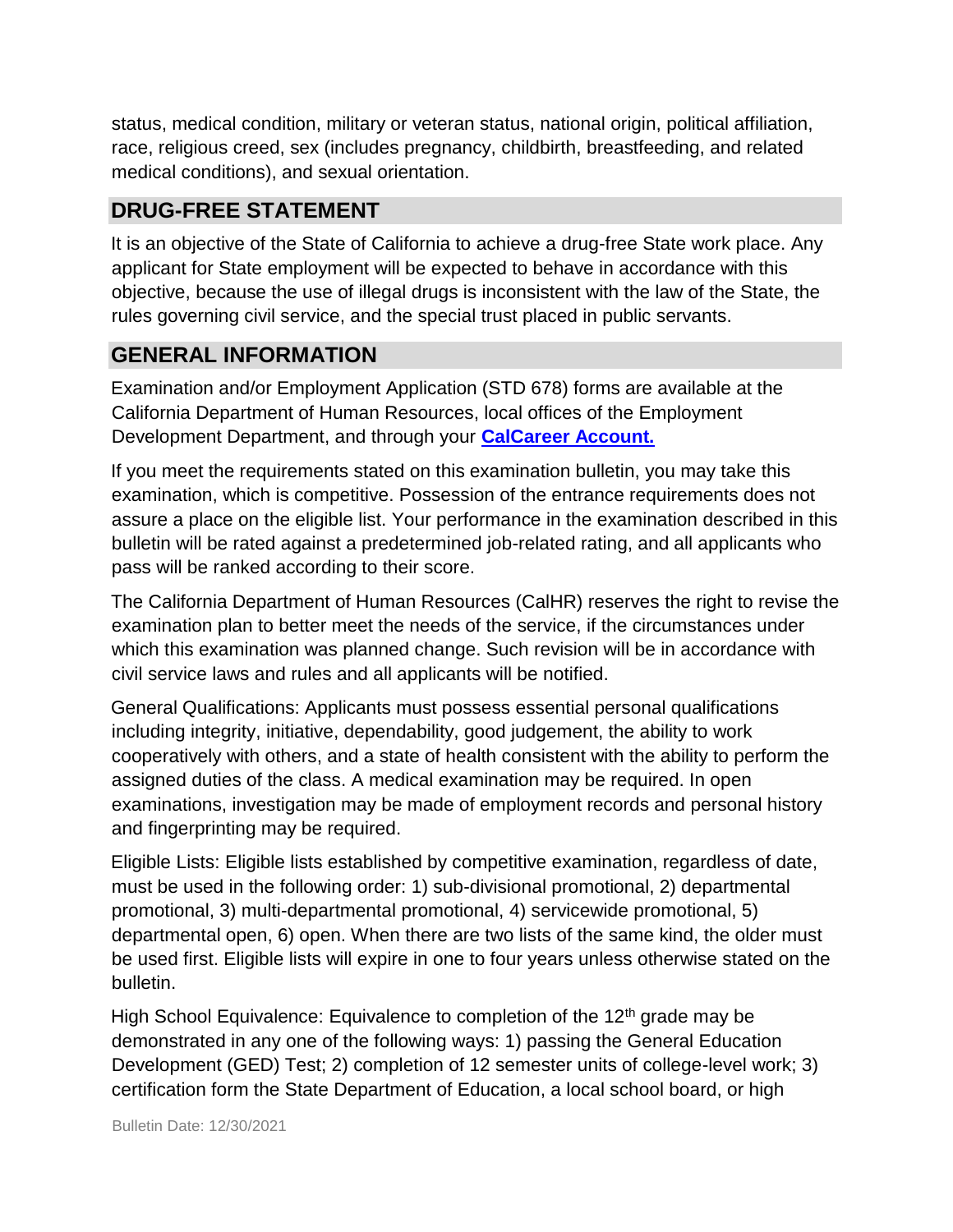status, medical condition, military or veteran status, national origin, political affiliation, race, religious creed, sex (includes pregnancy, childbirth, breastfeeding, and related medical conditions), and sexual orientation.

# **DRUG-FREE STATEMENT**

It is an objective of the State of California to achieve a drug-free State work place. Any applicant for State employment will be expected to behave in accordance with this objective, because the use of illegal drugs is inconsistent with the law of the State, the rules governing civil service, and the special trust placed in public servants.

### **GENERAL INFORMATION**

Examination and/or Employment Application (STD 678) forms are available at the California Department of Human Resources, local offices of the Employment Development Department, and through your **[CalCareer Account.](http://www.jobs.ca.gov/)**

If you meet the requirements stated on this examination bulletin, you may take this examination, which is competitive. Possession of the entrance requirements does not assure a place on the eligible list. Your performance in the examination described in this bulletin will be rated against a predetermined job-related rating, and all applicants who pass will be ranked according to their score.

The California Department of Human Resources (CalHR) reserves the right to revise the examination plan to better meet the needs of the service, if the circumstances under which this examination was planned change. Such revision will be in accordance with civil service laws and rules and all applicants will be notified.

General Qualifications: Applicants must possess essential personal qualifications including integrity, initiative, dependability, good judgement, the ability to work cooperatively with others, and a state of health consistent with the ability to perform the assigned duties of the class. A medical examination may be required. In open examinations, investigation may be made of employment records and personal history and fingerprinting may be required.

Eligible Lists: Eligible lists established by competitive examination, regardless of date, must be used in the following order: 1) sub-divisional promotional, 2) departmental promotional, 3) multi-departmental promotional, 4) servicewide promotional, 5) departmental open, 6) open. When there are two lists of the same kind, the older must be used first. Eligible lists will expire in one to four years unless otherwise stated on the bulletin.

High School Equivalence: Equivalence to completion of the  $12<sup>th</sup>$  grade may be demonstrated in any one of the following ways: 1) passing the General Education Development (GED) Test; 2) completion of 12 semester units of college-level work; 3) certification form the State Department of Education, a local school board, or high